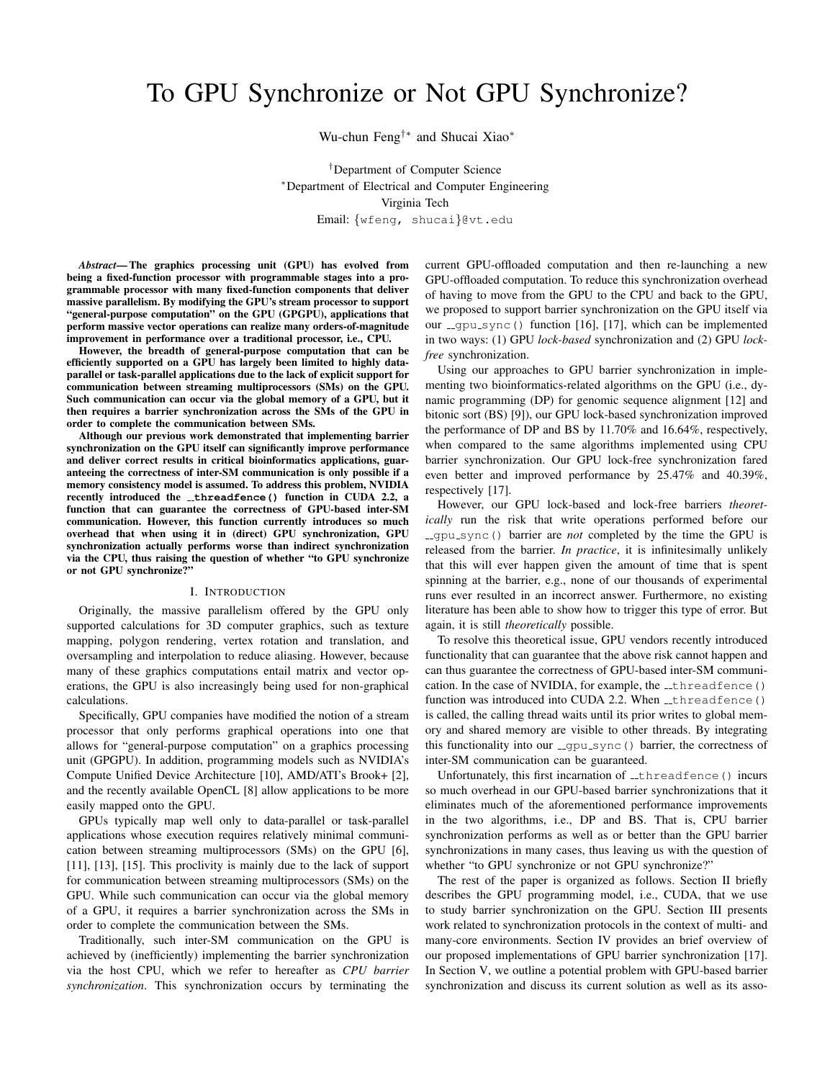# To GPU Synchronize or Not GPU Synchronize?

Wu-chun Feng†∗ and Shucai Xiao<sup>∗</sup>

†Department of Computer Science <sup>∗</sup>Department of Electrical and Computer Engineering Virginia Tech Email: {wfeng, shucai}@vt.edu

*Abstract*— The graphics processing unit (GPU) has evolved from being a fixed-function processor with programmable stages into a programmable processor with many fixed-function components that deliver massive parallelism. By modifying the GPU's stream processor to support "general-purpose computation" on the GPU (GPGPU), applications that perform massive vector operations can realize many orders-of-magnitude improvement in performance over a traditional processor, i.e., CPU.

However, the breadth of general-purpose computation that can be efficiently supported on a GPU has largely been limited to highly dataparallel or task-parallel applications due to the lack of explicit support for communication between streaming multiprocessors (SMs) on the GPU. Such communication can occur via the global memory of a GPU, but it then requires a barrier synchronization across the SMs of the GPU in order to complete the communication between SMs.

Although our previous work demonstrated that implementing barrier synchronization on the GPU itself can significantly improve performance and deliver correct results in critical bioinformatics applications, guaranteeing the correctness of inter-SM communication is only possible if a memory consistency model is assumed. To address this problem, NVIDIA recently introduced the *threadfence* () function in CUDA 2.2, a function that can guarantee the correctness of GPU-based inter-SM communication. However, this function currently introduces so much overhead that when using it in (direct) GPU synchronization, GPU synchronization actually performs worse than indirect synchronization via the CPU, thus raising the question of whether "to GPU synchronize or not GPU synchronize?"

### I. INTRODUCTION

Originally, the massive parallelism offered by the GPU only supported calculations for 3D computer graphics, such as texture mapping, polygon rendering, vertex rotation and translation, and oversampling and interpolation to reduce aliasing. However, because many of these graphics computations entail matrix and vector operations, the GPU is also increasingly being used for non-graphical calculations.

Specifically, GPU companies have modified the notion of a stream processor that only performs graphical operations into one that allows for "general-purpose computation" on a graphics processing unit (GPGPU). In addition, programming models such as NVIDIA's Compute Unified Device Architecture [10], AMD/ATI's Brook+ [2], and the recently available OpenCL [8] allow applications to be more easily mapped onto the GPU.

GPUs typically map well only to data-parallel or task-parallel applications whose execution requires relatively minimal communication between streaming multiprocessors (SMs) on the GPU [6], [11], [13], [15]. This proclivity is mainly due to the lack of support for communication between streaming multiprocessors (SMs) on the GPU. While such communication can occur via the global memory of a GPU, it requires a barrier synchronization across the SMs in order to complete the communication between the SMs.

Traditionally, such inter-SM communication on the GPU is achieved by (inefficiently) implementing the barrier synchronization via the host CPU, which we refer to hereafter as *CPU barrier synchronization*. This synchronization occurs by terminating the

current GPU-offloaded computation and then re-launching a new GPU-offloaded computation. To reduce this synchronization overhead of having to move from the GPU to the CPU and back to the GPU, we proposed to support barrier synchronization on the GPU itself via our  $\text{logmax}(t)$  function [16], [17], which can be implemented in two ways: (1) GPU *lock-based* synchronization and (2) GPU *lockfree* synchronization.

Using our approaches to GPU barrier synchronization in implementing two bioinformatics-related algorithms on the GPU (i.e., dynamic programming (DP) for genomic sequence alignment [12] and bitonic sort (BS) [9]), our GPU lock-based synchronization improved the performance of DP and BS by 11.70% and 16.64%, respectively, when compared to the same algorithms implemented using CPU barrier synchronization. Our GPU lock-free synchronization fared even better and improved performance by 25.47% and 40.39%, respectively [17].

However, our GPU lock-based and lock-free barriers *theoretically* run the risk that write operations performed before our gpu sync() barrier are *not* completed by the time the GPU is released from the barrier. *In practice*, it is infinitesimally unlikely that this will ever happen given the amount of time that is spent spinning at the barrier, e.g., none of our thousands of experimental runs ever resulted in an incorrect answer. Furthermore, no existing literature has been able to show how to trigger this type of error. But again, it is still *theoretically* possible.

To resolve this theoretical issue, GPU vendors recently introduced functionality that can guarantee that the above risk cannot happen and can thus guarantee the correctness of GPU-based inter-SM communication. In the case of NVIDIA, for example, the  $\bot$ threadfence() function was introduced into CUDA 2.2. When \_threadfence() is called, the calling thread waits until its prior writes to global memory and shared memory are visible to other threads. By integrating this functionality into our  $\text{qpu}$ -sync() barrier, the correctness of inter-SM communication can be guaranteed.

Unfortunately, this first incarnation of \_threadfence() incurs so much overhead in our GPU-based barrier synchronizations that it eliminates much of the aforementioned performance improvements in the two algorithms, i.e., DP and BS. That is, CPU barrier synchronization performs as well as or better than the GPU barrier synchronizations in many cases, thus leaving us with the question of whether "to GPU synchronize or not GPU synchronize?"

The rest of the paper is organized as follows. Section II briefly describes the GPU programming model, i.e., CUDA, that we use to study barrier synchronization on the GPU. Section III presents work related to synchronization protocols in the context of multi- and many-core environments. Section IV provides an brief overview of our proposed implementations of GPU barrier synchronization [17]. In Section V, we outline a potential problem with GPU-based barrier synchronization and discuss its current solution as well as its asso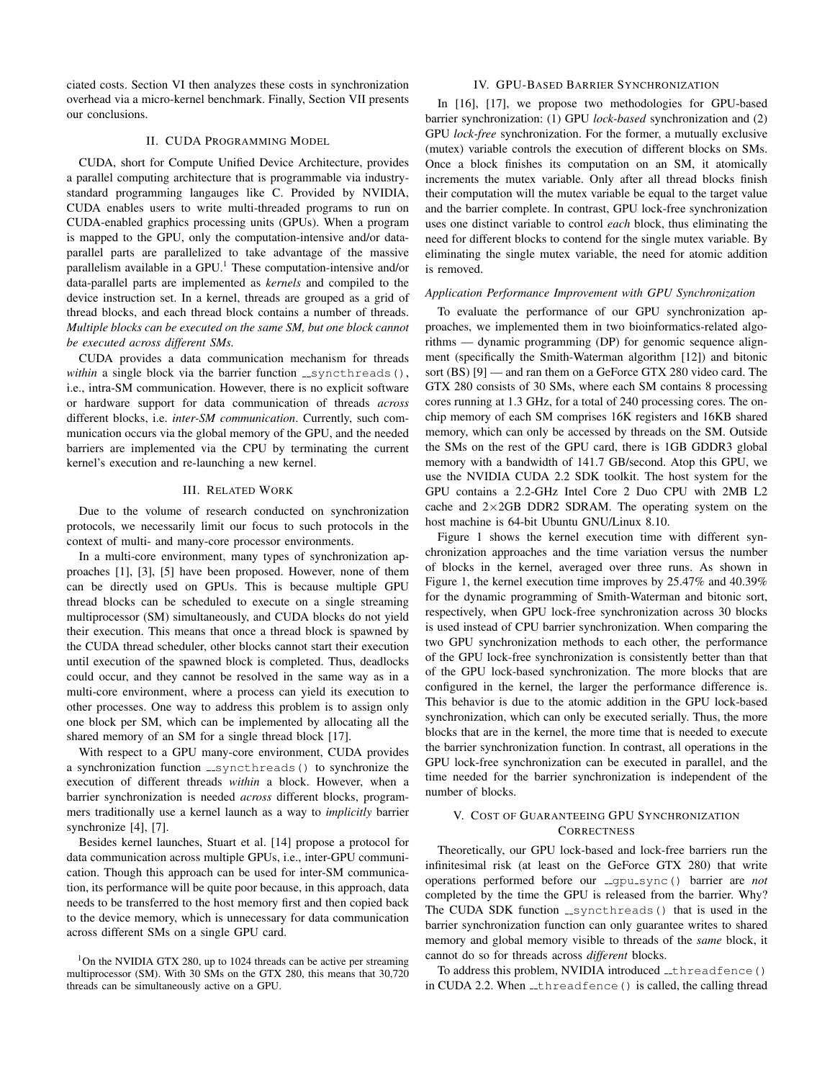ciated costs. Section VI then analyzes these costs in synchronization overhead via a micro-kernel benchmark. Finally, Section VII presents our conclusions.

## II. CUDA PROGRAMMING MODEL

CUDA, short for Compute Unified Device Architecture, provides a parallel computing architecture that is programmable via industrystandard programming langauges like C. Provided by NVIDIA, CUDA enables users to write multi-threaded programs to run on CUDA-enabled graphics processing units (GPUs). When a program is mapped to the GPU, only the computation-intensive and/or dataparallel parts are parallelized to take advantage of the massive parallelism available in a  $GPU<sup>1</sup>$ . These computation-intensive and/or data-parallel parts are implemented as *kernels* and compiled to the device instruction set. In a kernel, threads are grouped as a grid of thread blocks, and each thread block contains a number of threads. *Multiple blocks can be executed on the same SM, but one block cannot be executed across different SMs.*

CUDA provides a data communication mechanism for threads *within* a single block via the barrier function \_syncthreads(), i.e., intra-SM communication. However, there is no explicit software or hardware support for data communication of threads *across* different blocks, i.e. *inter-SM communication*. Currently, such communication occurs via the global memory of the GPU, and the needed barriers are implemented via the CPU by terminating the current kernel's execution and re-launching a new kernel.

### III. RELATED WORK

Due to the volume of research conducted on synchronization protocols, we necessarily limit our focus to such protocols in the context of multi- and many-core processor environments.

In a multi-core environment, many types of synchronization approaches [1], [3], [5] have been proposed. However, none of them can be directly used on GPUs. This is because multiple GPU thread blocks can be scheduled to execute on a single streaming multiprocessor (SM) simultaneously, and CUDA blocks do not yield their execution. This means that once a thread block is spawned by the CUDA thread scheduler, other blocks cannot start their execution until execution of the spawned block is completed. Thus, deadlocks could occur, and they cannot be resolved in the same way as in a multi-core environment, where a process can yield its execution to other processes. One way to address this problem is to assign only one block per SM, which can be implemented by allocating all the shared memory of an SM for a single thread block [17].

With respect to a GPU many-core environment, CUDA provides a synchronization function  $\text{Lsynchreads}$  () to synchronize the execution of different threads *within* a block. However, when a barrier synchronization is needed *across* different blocks, programmers traditionally use a kernel launch as a way to *implicitly* barrier synchronize [4], [7].

Besides kernel launches, Stuart et al. [14] propose a protocol for data communication across multiple GPUs, i.e., inter-GPU communication. Though this approach can be used for inter-SM communication, its performance will be quite poor because, in this approach, data needs to be transferred to the host memory first and then copied back to the device memory, which is unnecessary for data communication across different SMs on a single GPU card.

#### IV. GPU-BASED BARRIER SYNCHRONIZATION

In [16], [17], we propose two methodologies for GPU-based barrier synchronization: (1) GPU *lock-based* synchronization and (2) GPU *lock-free* synchronization. For the former, a mutually exclusive (mutex) variable controls the execution of different blocks on SMs. Once a block finishes its computation on an SM, it atomically increments the mutex variable. Only after all thread blocks finish their computation will the mutex variable be equal to the target value and the barrier complete. In contrast, GPU lock-free synchronization uses one distinct variable to control *each* block, thus eliminating the need for different blocks to contend for the single mutex variable. By eliminating the single mutex variable, the need for atomic addition is removed.

## *Application Performance Improvement with GPU Synchronization*

To evaluate the performance of our GPU synchronization approaches, we implemented them in two bioinformatics-related algorithms — dynamic programming (DP) for genomic sequence alignment (specifically the Smith-Waterman algorithm [12]) and bitonic sort (BS) [9] — and ran them on a GeForce GTX 280 video card. The GTX 280 consists of 30 SMs, where each SM contains 8 processing cores running at 1.3 GHz, for a total of 240 processing cores. The onchip memory of each SM comprises 16K registers and 16KB shared memory, which can only be accessed by threads on the SM. Outside the SMs on the rest of the GPU card, there is 1GB GDDR3 global memory with a bandwidth of 141.7 GB/second. Atop this GPU, we use the NVIDIA CUDA 2.2 SDK toolkit. The host system for the GPU contains a 2.2-GHz Intel Core 2 Duo CPU with 2MB L2 cache and  $2\times2GB$  DDR2 SDRAM. The operating system on the host machine is 64-bit Ubuntu GNU/Linux 8.10.

Figure 1 shows the kernel execution time with different synchronization approaches and the time variation versus the number of blocks in the kernel, averaged over three runs. As shown in Figure 1, the kernel execution time improves by 25.47% and 40.39% for the dynamic programming of Smith-Waterman and bitonic sort, respectively, when GPU lock-free synchronization across 30 blocks is used instead of CPU barrier synchronization. When comparing the two GPU synchronization methods to each other, the performance of the GPU lock-free synchronization is consistently better than that of the GPU lock-based synchronization. The more blocks that are configured in the kernel, the larger the performance difference is. This behavior is due to the atomic addition in the GPU lock-based synchronization, which can only be executed serially. Thus, the more blocks that are in the kernel, the more time that is needed to execute the barrier synchronization function. In contrast, all operations in the GPU lock-free synchronization can be executed in parallel, and the time needed for the barrier synchronization is independent of the number of blocks.

## V. COST OF GUARANTEEING GPU SYNCHRONIZATION **CORRECTNESS**

Theoretically, our GPU lock-based and lock-free barriers run the infinitesimal risk (at least on the GeForce GTX 280) that write operations performed before our \_\_gpu\_sync() barrier are *not* completed by the time the GPU is released from the barrier. Why? The CUDA SDK function  $\text{Lsynchreads}$  () that is used in the barrier synchronization function can only guarantee writes to shared memory and global memory visible to threads of the *same* block, it cannot do so for threads across *different* blocks.

To address this problem, NVIDIA introduced \_threadfence() in CUDA 2.2. When  $\text{\textendash}$  threadfence() is called, the calling thread

 $1$ On the NVIDIA GTX 280, up to 1024 threads can be active per streaming multiprocessor (SM). With 30 SMs on the GTX 280, this means that 30,720 threads can be simultaneously active on a GPU.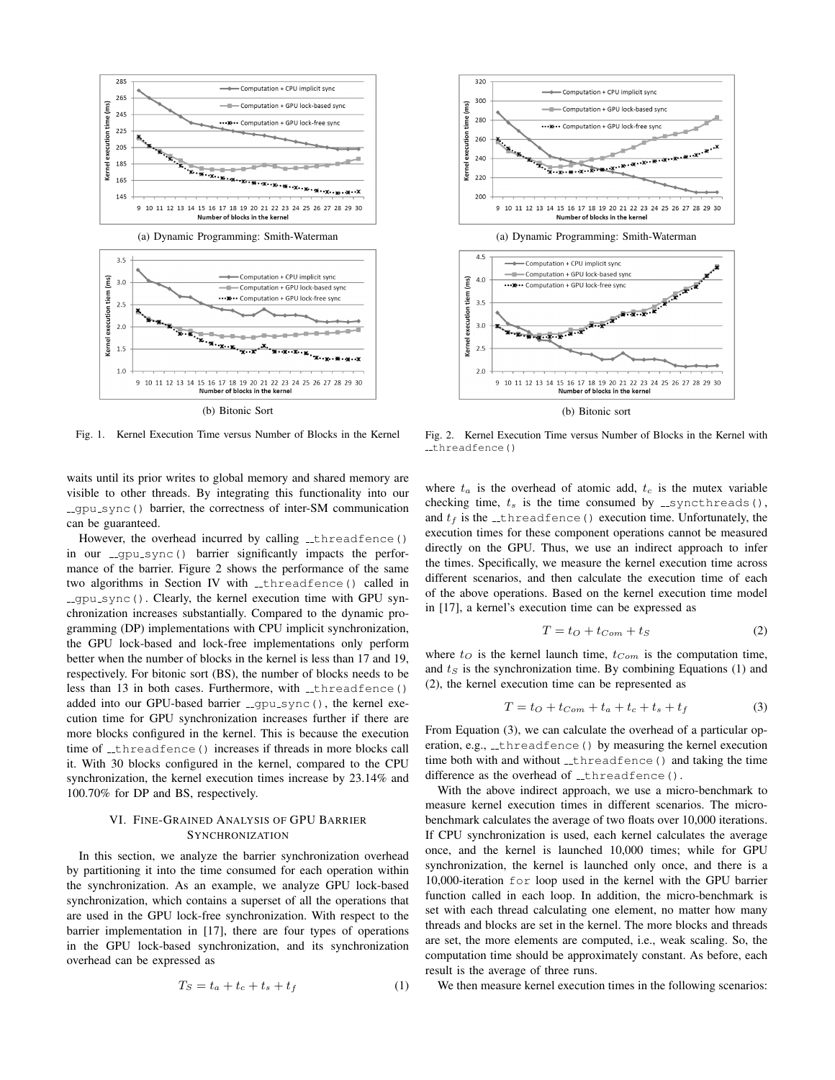

Fig. 1. Kernel Execution Time versus Number of Blocks in the Kernel

waits until its prior writes to global memory and shared memory are visible to other threads. By integrating this functionality into our \_gpu\_sync() barrier, the correctness of inter-SM communication can be guaranteed.

However, the overhead incurred by calling \_threadfence() in our \_\_qpu\_sync() barrier significantly impacts the performance of the barrier. Figure 2 shows the performance of the same two algorithms in Section IV with \_threadfence() called in \_gpu\_sync(). Clearly, the kernel execution time with GPU synchronization increases substantially. Compared to the dynamic programming (DP) implementations with CPU implicit synchronization, the GPU lock-based and lock-free implementations only perform better when the number of blocks in the kernel is less than 17 and 19, respectively. For bitonic sort (BS), the number of blocks needs to be less than 13 in both cases. Furthermore, with \_threadfence() added into our GPU-based barrier \_\_gpu\_sync(), the kernel execution time for GPU synchronization increases further if there are more blocks configured in the kernel. This is because the execution time of \_threadfence() increases if threads in more blocks call it. With 30 blocks configured in the kernel, compared to the CPU synchronization, the kernel execution times increase by 23.14% and 100.70% for DP and BS, respectively.

# VI. FINE-GRAINED ANALYSIS OF GPU BARRIER **SYNCHRONIZATION**

In this section, we analyze the barrier synchronization overhead by partitioning it into the time consumed for each operation within the synchronization. As an example, we analyze GPU lock-based synchronization, which contains a superset of all the operations that are used in the GPU lock-free synchronization. With respect to the barrier implementation in [17], there are four types of operations in the GPU lock-based synchronization, and its synchronization overhead can be expressed as





Fig. 2. Kernel Execution Time versus Number of Blocks in the Kernel with threadfence()

where  $t_a$  is the overhead of atomic add,  $t_c$  is the mutex variable checking time,  $t_s$  is the time consumed by  $\text{Lsynchreads}($ ), and  $t_f$  is the  $\bot$ threadfence() execution time. Unfortunately, the execution times for these component operations cannot be measured directly on the GPU. Thus, we use an indirect approach to infer the times. Specifically, we measure the kernel execution time across different scenarios, and then calculate the execution time of each of the above operations. Based on the kernel execution time model in [17], a kernel's execution time can be expressed as

$$
T = t_O + t_{Com} + t_S \tag{2}
$$

where  $t<sub>O</sub>$  is the kernel launch time,  $t<sub>Com</sub>$  is the computation time, and  $t<sub>S</sub>$  is the synchronization time. By combining Equations (1) and (2), the kernel execution time can be represented as

$$
T = t_O + t_{Com} + t_a + t_c + t_s + t_f \tag{3}
$$

From Equation (3), we can calculate the overhead of a particular operation, e.g., \_threadfence() by measuring the kernel execution time both with and without  $\bot$ threadfence() and taking the time difference as the overhead of  ${\_}$ threadfence().

With the above indirect approach, we use a micro-benchmark to measure kernel execution times in different scenarios. The microbenchmark calculates the average of two floats over 10,000 iterations. If CPU synchronization is used, each kernel calculates the average once, and the kernel is launched 10,000 times; while for GPU synchronization, the kernel is launched only once, and there is a 10,000-iteration for loop used in the kernel with the GPU barrier function called in each loop. In addition, the micro-benchmark is set with each thread calculating one element, no matter how many threads and blocks are set in the kernel. The more blocks and threads are set, the more elements are computed, i.e., weak scaling. So, the computation time should be approximately constant. As before, each result is the average of three runs.

We then measure kernel execution times in the following scenarios: